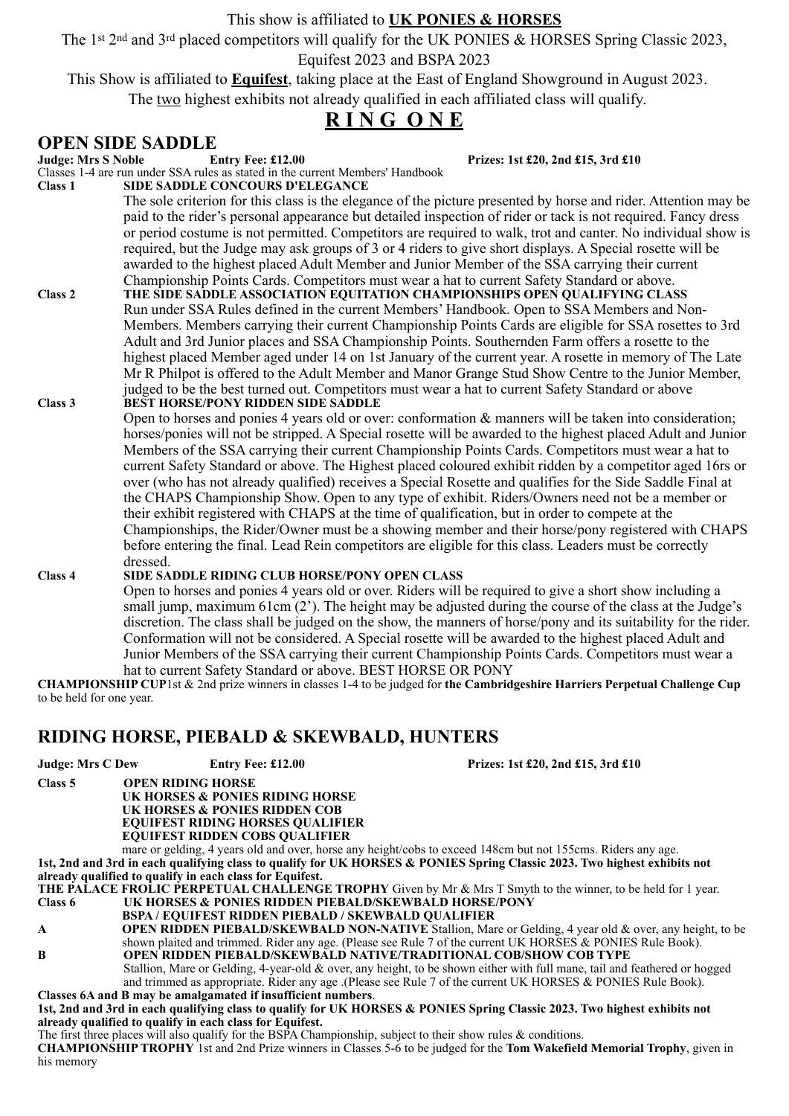#### This show is affiliated to **UK PONIES & HORSES**

The 1st 2nd and 3rd placed competitors will qualify for the UK PONIES & HORSES Spring Classic 2023,

Equifest 2023 and BSPA 2023

This Show is affiliated to **Equifest**, taking place at the East of England Showground in August 2023.

The two highest exhibits not already qualified in each affiliated class will qualify.

## **R I N G O N E**

### **OPEN SIDE SADDLE**

**Judge: Mrs S Noble Entry Fee: £12.00 Prizes: 1st £20, 2nd £15, 3rd £10** Classes 1-4 are run under SSA rules as stated in the current Members' Handbook **Class 1 SIDE SADDLE CONCOURS D'ELEGANCE** The sole criterion for this class is the elegance of the picture presented by horse and rider. Attention may be paid to the rider's personal appearance but detailed inspection of rider or tack is not required. Fancy dress or period costume is not permitted. Competitors are required to walk, trot and canter. No individual show is required, but the Judge may ask groups of 3 or 4 riders to give short displays. A Special rosette will be awarded to the highest placed Adult Member and Junior Member of the SSA carrying their current Championship Points Cards. Competitors must wear a hat to current Safety Standard or above. **Class 2 THE SIDE SADDLE ASSOCIATION EQUITATION CHAMPIONSHIPS OPEN QUALIFYING CLASS** Run under SSA Rules defined in the current Members' Handbook. Open to SSA Members and Non-Members. Members carrying their current Championship Points Cards are eligible for SSA rosettes to 3rd Adult and 3rd Junior places and SSA Championship Points. Southernden Farm offers a rosette to the highest placed Member aged under 14 on 1st January of the current year. A rosette in memory of The Late Mr R Philpot is offered to the Adult Member and Manor Grange Stud Show Centre to the Junior Member, judged to be the best turned out. Competitors must wear a hat to current Safety Standard or above **Class 3 BEST HORSE/PONY RIDDEN SIDE SADDLE**  Open to horses and ponies 4 years old or over: conformation & manners will be taken into consideration; horses/ponies will not be stripped. A Special rosette will be awarded to the highest placed Adult and Junior Members of the SSA carrying their current Championship Points Cards. Competitors must wear a hat to current Safety Standard or above. The Highest placed coloured exhibit ridden by a competitor aged 16rs or over (who has not already qualified) receives a Special Rosette and qualifies for the Side Saddle Final at the CHAPS Championship Show. Open to any type of exhibit. Riders/Owners need not be a member or their exhibit registered with CHAPS at the time of qualification, but in order to compete at the Championships, the Rider/Owner must be a showing member and their horse/pony registered with CHAPS before entering the final. Lead Rein competitors are eligible for this class. Leaders must be correctly dressed. **Class 4 SIDE SADDLE RIDING CLUB HORSE/PONY OPEN CLASS** Open to horses and ponies 4 years old or over. Riders will be required to give a short show including a small jump, maximum 61cm (2'). The height may be adjusted during the course of the class at the Judge's discretion. The class shall be judged on the show, the manners of horse/pony and its suitability for the rider. Conformation will not be considered. A Special rosette will be awarded to the highest placed Adult and

hat to current Safety Standard or above. BEST HORSE OR PONY **CHAMPIONSHIP CUP**1st & 2nd prize winners in classes 1-4 to be judged for **the Cambridgeshire Harriers Perpetual Challenge Cup** to be held for one year.

Junior Members of the SSA carrying their current Championship Points Cards. Competitors must wear a

## **RIDING HORSE, PIEBALD & SKEWBALD, HUNTERS**

**Judge: Mrs C Dew Entry Fee: £12.00 Prizes: 1st £20, 2nd £15, 3rd £10 Class 5 OPEN RIDING HORSE UK HORSES & PONIES RIDING HORSE UK HORSES & PONIES RIDDEN COB EQUIFEST RIDING HORSES QUALIFIER EQUIFEST RIDDEN COBS QUALIFIER** mare or gelding, 4 years old and over, horse any height/cobs to exceed 148cm but not 155cms. Riders any age. **1st, 2nd and 3rd in each qualifying class to qualify for UK HORSES & PONIES Spring Classic 2023. Two highest exhibits not already qualified to qualify in each class for Equifest. THE PALACE FROLIC PERPETUAL CHALLENGE TROPHY** Given by Mr & Mrs T Smyth to the winner, to be held for 1 year. **Class 6 UK HORSES & PONIES RIDDEN PIEBALD/SKEWBALD HORSE/PONY BSPA / EQUIFEST RIDDEN PIEBALD / SKEWBALD QUALIFIER A OPEN RIDDEN PIEBALD/SKEWBALD NON-NATIVE** Stallion, Mare or Gelding, 4 year old & over, any height, to be shown plaited and trimmed. Rider any age. (Please see Rule 7 of the current UK HORSES & PONIES Rule Book). **B OPEN RIDDEN PIEBALD/SKEWBALD NATIVE/TRADITIONAL COB/SHOW COB TYPE**

Stallion, Mare or Gelding, 4-year-old & over, any height, to be shown either with full mane, tail and feathered or hogged and trimmed as appropriate. Rider any age .(Please see Rule 7 of the current UK HORSES & PONIES Rule Book). **Classes 6A and B may be amalgamated if insufficient numbers**.

#### **1st, 2nd and 3rd in each qualifying class to qualify for UK HORSES & PONIES Spring Classic 2023. Two highest exhibits not already qualified to qualify in each class for Equifest.**

The first three places will also qualify for the BSPA Championship, subject to their show rules & conditions.

**CHAMPIONSHIP TROPHY** 1st and 2nd Prize winners in Classes 5-6 to be judged for the **Tom Wakefield Memorial Trophy**, given in his memory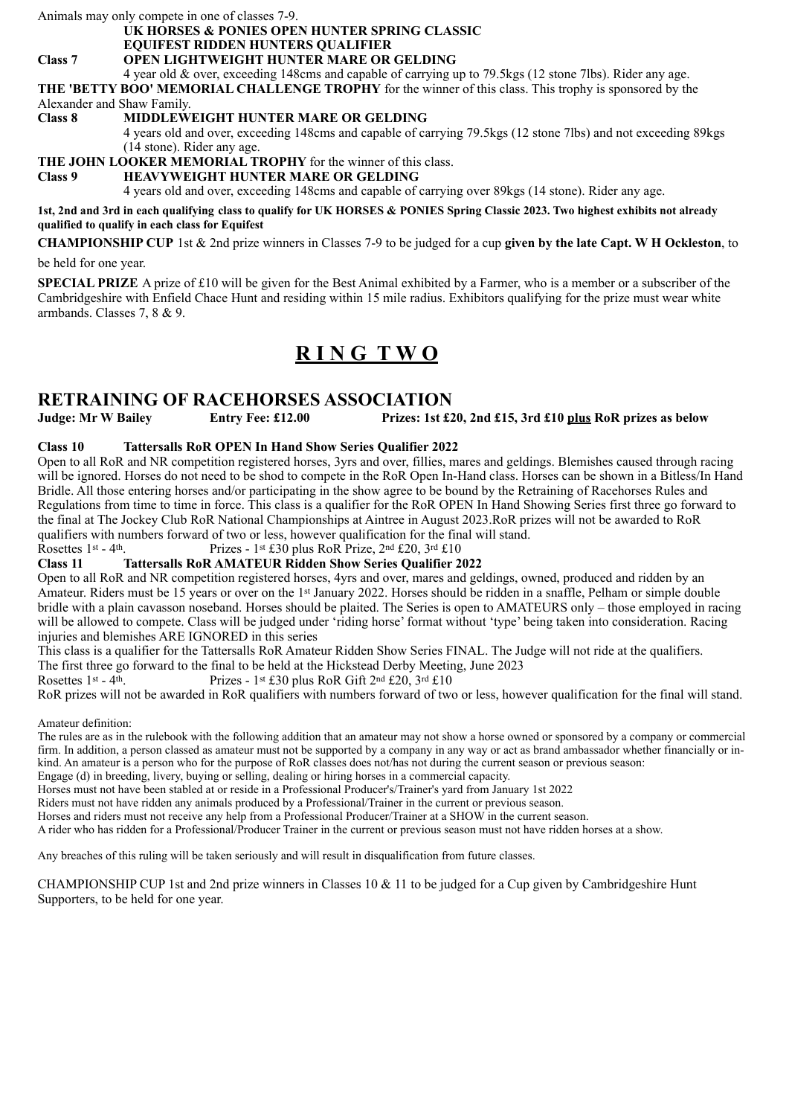Animals may only compete in one of classes 7-9.

#### **UK HORSES & PONIES OPEN HUNTER SPRING CLASSIC**

**EQUIFEST RIDDEN HUNTERS QUALIFIER**

#### **Class 7 OPEN LIGHTWEIGHT HUNTER MARE OR GELDING**

4 year old & over, exceeding 148cms and capable of carrying up to 79.5kgs (12 stone 7lbs). Rider any age. **THE 'BETTY BOO' MEMORIAL CHALLENGE TROPHY** for the winner of this class. This trophy is sponsored by the Alexander and Shaw Family.

#### **Class 8 MIDDLEWEIGHT HUNTER MARE OR GELDING**

4 years old and over, exceeding 148cms and capable of carrying 79.5kgs (12 stone 7lbs) and not exceeding 89kgs (14 stone). Rider any age.

**THE JOHN LOOKER MEMORIAL TROPHY** for the winner of this class.

#### **Class 9 HEAVYWEIGHT HUNTER MARE OR GELDING**

4 years old and over, exceeding 148cms and capable of carrying over 89kgs (14 stone). Rider any age.

**1st, 2nd and 3rd in each qualifying class to qualify for UK HORSES & PONIES Spring Classic 2023. Two highest exhibits not already qualified to qualify in each class for Equifest**

**CHAMPIONSHIP CUP** 1st & 2nd prize winners in Classes 7-9 to be judged for a cup **given by the late Capt. W H Ockleston**, to

be held for one year.

**SPECIAL PRIZE** A prize of £10 will be given for the Best Animal exhibited by a Farmer, who is a member or a subscriber of the Cambridgeshire with Enfield Chace Hunt and residing within 15 mile radius. Exhibitors qualifying for the prize must wear white armbands. Classes 7, 8 & 9.

## **R I N G T W O**

#### **RETRAINING OF RACEHORSES ASSOCIATION**

**Judge: Mr W Bailey Entry Fee: £12.00 Prizes: 1st £20, 2nd £15, 3rd £10 plus RoR prizes as below**

#### **Class 10 Tattersalls RoR OPEN In Hand Show Series Qualifier 2022**

Open to all RoR and NR competition registered horses, 3yrs and over, fillies, mares and geldings. Blemishes caused through racing will be ignored. Horses do not need to be shod to compete in the RoR Open In-Hand class. Horses can be shown in a Bitless/In Hand Bridle. All those entering horses and/or participating in the show agree to be bound by the Retraining of Racehorses Rules and Regulations from time to time in force. This class is a qualifier for the RoR OPEN In Hand Showing Series first three go forward to the final at The Jockey Club RoR National Championships at Aintree in August 2023.RoR prizes will not be awarded to RoR qualifiers with numbers forward of two or less, however qualification for the final will stand.<br>Rosettes 1<sup>st</sup> - 4<sup>th</sup>. Prizes - 1<sup>st</sup> £30 plus RoR Prize. 2<sup>nd</sup> £20, 3<sup>rd</sup> £10

Rosettes 1st - 4th.<br> **Prizes - 1st £30 plus RoR Prize, 2nd £20, 3rd £10**<br> **Class 11** Tattersalls RoR AMATEUR Ridden Show Series Qualifier 2

#### **Class 11 Tattersalls RoR AMATEUR Ridden Show Series Qualifier 2022**

Open to all RoR and NR competition registered horses, 4yrs and over, mares and geldings, owned, produced and ridden by an Amateur. Riders must be 15 years or over on the 1st January 2022. Horses should be ridden in a snaffle, Pelham or simple double bridle with a plain cavasson noseband. Horses should be plaited. The Series is open to AMATEURS only – those employed in racing will be allowed to compete. Class will be judged under 'riding horse' format without 'type' being taken into consideration. Racing injuries and blemishes ARE IGNORED in this series

This class is a qualifier for the Tattersalls RoR Amateur Ridden Show Series FINAL. The Judge will not ride at the qualifiers.

The first three go forward to the final to be held at the Hickstead Derby Meeting, June 2023

Rosettes 1st - 4th. Prizes - 1st £30 plus RoR Gift  $2<sup>nd</sup>$  £20,  $3<sup>rd</sup>$  £10

RoR prizes will not be awarded in RoR qualifiers with numbers forward of two or less, however qualification for the final will stand.

Amateur definition:

The rules are as in the rulebook with the following addition that an amateur may not show a horse owned or sponsored by a company or commercial firm. In addition, a person classed as amateur must not be supported by a company in any way or act as brand ambassador whether financially or inkind. An amateur is a person who for the purpose of RoR classes does not/has not during the current season or previous season: Engage (d) in breeding, livery, buying or selling, dealing or hiring horses in a commercial capacity.

Horses must not have been stabled at or reside in a Professional Producer's/Trainer's yard from January 1st 2022

Riders must not have ridden any animals produced by a Professional/Trainer in the current or previous season.

Horses and riders must not receive any help from a Professional Producer/Trainer at a SHOW in the current season.

A rider who has ridden for a Professional/Producer Trainer in the current or previous season must not have ridden horses at a show.

Any breaches of this ruling will be taken seriously and will result in disqualification from future classes.

CHAMPIONSHIP CUP 1st and 2nd prize winners in Classes 10  $\&$  11 to be judged for a Cup given by Cambridgeshire Hunt Supporters, to be held for one year.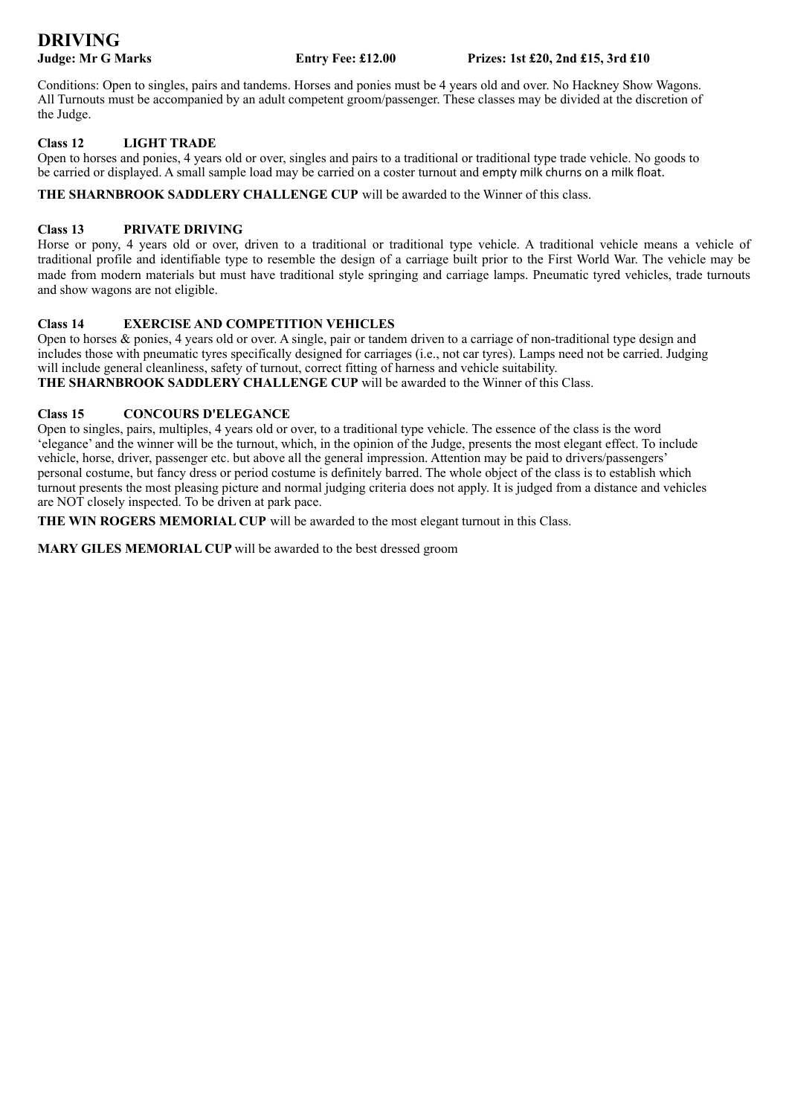# **DRIVING**

Conditions: Open to singles, pairs and tandems. Horses and ponies must be 4 years old and over. No Hackney Show Wagons. All Turnouts must be accompanied by an adult competent groom/passenger. These classes may be divided at the discretion of the Judge.

#### **Class 12 LIGHT TRADE**

Open to horses and ponies, 4 years old or over, singles and pairs to a traditional or traditional type trade vehicle. No goods to be carried or displayed. A small sample load may be carried on a coster turnout and empty milk churns on a milk float.

**THE SHARNBROOK SADDLERY CHALLENGE CUP** will be awarded to the Winner of this class.

#### **Class 13 PRIVATE DRIVING**

Horse or pony, 4 years old or over, driven to a traditional or traditional type vehicle. A traditional vehicle means a vehicle of traditional profile and identifiable type to resemble the design of a carriage built prior to the First World War. The vehicle may be made from modern materials but must have traditional style springing and carriage lamps. Pneumatic tyred vehicles, trade turnouts and show wagons are not eligible.

#### **Class 14 EXERCISE AND COMPETITION VEHICLES**

Open to horses & ponies, 4 years old or over. A single, pair or tandem driven to a carriage of non-traditional type design and includes those with pneumatic tyres specifically designed for carriages (i.e., not car tyres). Lamps need not be carried. Judging will include general cleanliness, safety of turnout, correct fitting of harness and vehicle suitability. **THE SHARNBROOK SADDLERY CHALLENGE CUP** will be awarded to the Winner of this Class.

#### **Class 15 CONCOURS D'ELEGANCE**

Open to singles, pairs, multiples, 4 years old or over, to a traditional type vehicle. The essence of the class is the word 'elegance' and the winner will be the turnout, which, in the opinion of the Judge, presents the most elegant effect. To include vehicle, horse, driver, passenger etc. but above all the general impression. Attention may be paid to drivers/passengers' personal costume, but fancy dress or period costume is definitely barred. The whole object of the class is to establish which turnout presents the most pleasing picture and normal judging criteria does not apply. It is judged from a distance and vehicles are NOT closely inspected. To be driven at park pace.

**THE WIN ROGERS MEMORIAL CUP** will be awarded to the most elegant turnout in this Class.

**MARY GILES MEMORIAL CUP** will be awarded to the best dressed groom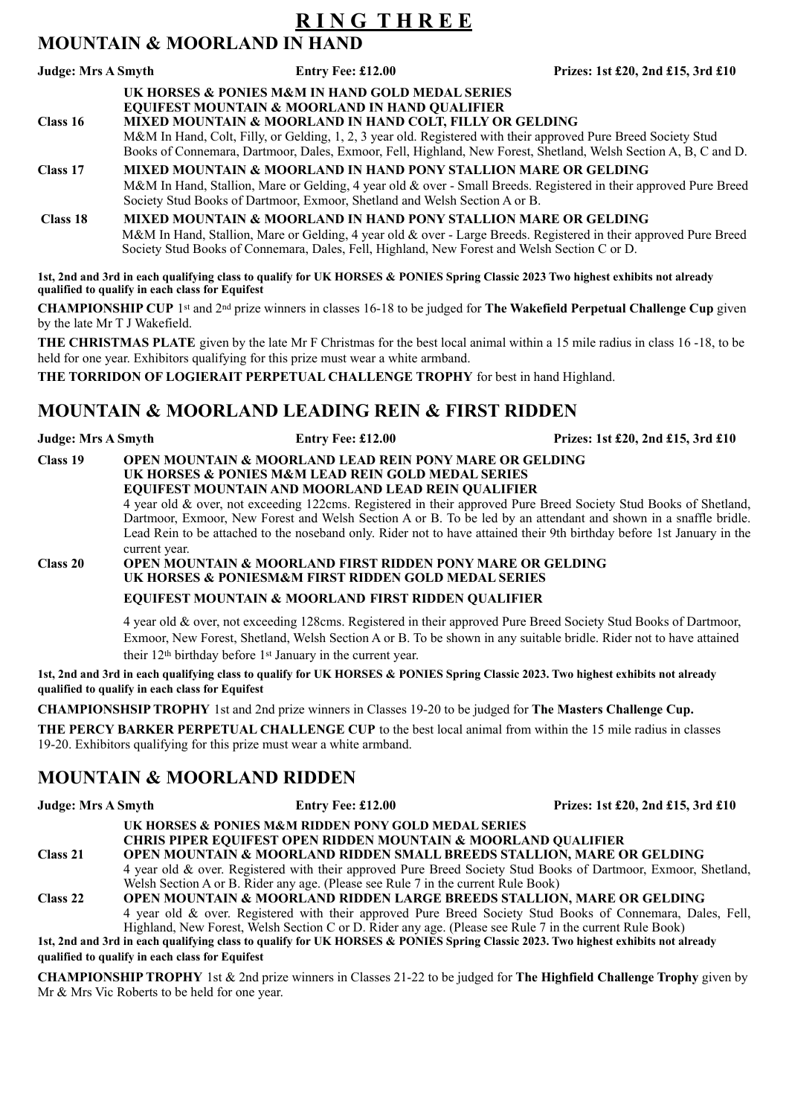### **R I N G T H R E E MOUNTAIN & MOORLAND IN HAND**

## **Judge: Mrs A Smyth Entry Fee: £12.00 Prizes: 1st £20, 2nd £15, 3rd £10**

#### **UK HORSES & PONIES M&M IN HAND GOLD MEDAL SERIES EQUIFEST MOUNTAIN & MOORLAND IN HAND QUALIFIER Class 16 MIXED MOUNTAIN & MOORLAND IN HAND COLT, FILLY OR GELDING**  M&M In Hand, Colt, Filly, or Gelding, 1, 2, 3 year old. Registered with their approved Pure Breed Society Stud Books of Connemara, Dartmoor, Dales, Exmoor, Fell, Highland, New Forest, Shetland, Welsh Section A, B, C and D. **Class 17 MIXED MOUNTAIN & MOORLAND IN HAND PONY STALLION MARE OR GELDING** M&M In Hand, Stallion, Mare or Gelding, 4 year old & over - Small Breeds. Registered in their approved Pure Breed Society Stud Books of Dartmoor, Exmoor, Shetland and Welsh Section A or B.  **Class 18 MIXED MOUNTAIN & MOORLAND IN HAND PONY STALLION MARE OR GELDING** M&M In Hand, Stallion, Mare or Gelding, 4 year old & over - Large Breeds. Registered in their approved Pure Breed Society Stud Books of Connemara, Dales, Fell, Highland, New Forest and Welsh Section C or D.

**1st, 2nd and 3rd in each qualifying class to qualify for UK HORSES & PONIES Spring Classic 2023 Two highest exhibits not already qualified to qualify in each class for Equifest**

**CHAMPIONSHIP CUP** 1st and 2nd prize winners in classes 16-18 to be judged for **The Wakefield Perpetual Challenge Cup** given by the late Mr T J Wakefield.

**THE CHRISTMAS PLATE** given by the late Mr F Christmas for the best local animal within a 15 mile radius in class 16 -18, to be held for one year. Exhibitors qualifying for this prize must wear a white armband.

**THE TORRIDON OF LOGIERAIT PERPETUAL CHALLENGE TROPHY** for best in hand Highland.

## **MOUNTAIN & MOORLAND LEADING REIN & FIRST RIDDEN**

**Judge: Mrs A Smyth Entry Fee: £12.00 Prizes: 1st £20, 2nd £15, 3rd £10**

**Class 19 OPEN MOUNTAIN & MOORLAND LEAD REIN PONY MARE OR GELDING**

#### **UK HORSES & PONIES M&M LEAD REIN GOLD MEDAL SERIES EQUIFEST MOUNTAIN AND MOORLAND LEAD REIN QUALIFIER**

4 year old & over, not exceeding 122cms. Registered in their approved Pure Breed Society Stud Books of Shetland, Dartmoor, Exmoor, New Forest and Welsh Section A or B. To be led by an attendant and shown in a snaffle bridle. Lead Rein to be attached to the noseband only. Rider not to have attained their 9th birthday before 1st January in the current year.

**Class 20 OPEN MOUNTAIN & MOORLAND FIRST RIDDEN PONY MARE OR GELDING UK HORSES & PONIESM&M FIRST RIDDEN GOLD MEDAL SERIES**

#### **EQUIFEST MOUNTAIN & MOORLAND FIRST RIDDEN QUALIFIER**

4 year old & over, not exceeding 128cms. Registered in their approved Pure Breed Society Stud Books of Dartmoor, Exmoor, New Forest, Shetland, Welsh Section A or B. To be shown in any suitable bridle. Rider not to have attained their 12th birthday before 1st January in the current year.

**1st, 2nd and 3rd in each qualifying class to qualify for UK HORSES & PONIES Spring Classic 2023. Two highest exhibits not already qualified to qualify in each class for Equifest**

**CHAMPIONSHSIP TROPHY** 1st and 2nd prize winners in Classes 19-20 to be judged for **The Masters Challenge Cup.**

**THE PERCY BARKER PERPETUAL CHALLENGE CUP** to the best local animal from within the 15 mile radius in classes 19-20. Exhibitors qualifying for this prize must wear a white armband.

## **MOUNTAIN & MOORLAND RIDDEN**

**Judge: Mrs A Smyth Entry Fee: £12.00 Prizes: 1st £20, 2nd £15, 3rd £10**

**UK HORSES & PONIES M&M RIDDEN PONY GOLD MEDAL SERIES**

- **CHRIS PIPER EQUIFEST OPEN RIDDEN MOUNTAIN & MOORLAND QUALIFIER**
- **Class 21 OPEN MOUNTAIN & MOORLAND RIDDEN SMALL BREEDS STALLION, MARE OR GELDING** 4 year old & over. Registered with their approved Pure Breed Society Stud Books of Dartmoor, Exmoor, Shetland, Welsh Section A or B. Rider any age. (Please see Rule 7 in the current Rule Book)

**Class 22 OPEN MOUNTAIN & MOORLAND RIDDEN LARGE BREEDS STALLION, MARE OR GELDING** 4 year old & over. Registered with their approved Pure Breed Society Stud Books of Connemara, Dales, Fell, Highland, New Forest, Welsh Section C or D. Rider any age. (Please see Rule 7 in the current Rule Book)

**1st, 2nd and 3rd in each qualifying class to qualify for UK HORSES & PONIES Spring Classic 2023. Two highest exhibits not already qualified to qualify in each class for Equifest**

**CHAMPIONSHIP TROPHY** 1st & 2nd prize winners in Classes 21-22 to be judged for **The Highfield Challenge Trophy** given by Mr & Mrs Vic Roberts to be held for one year.